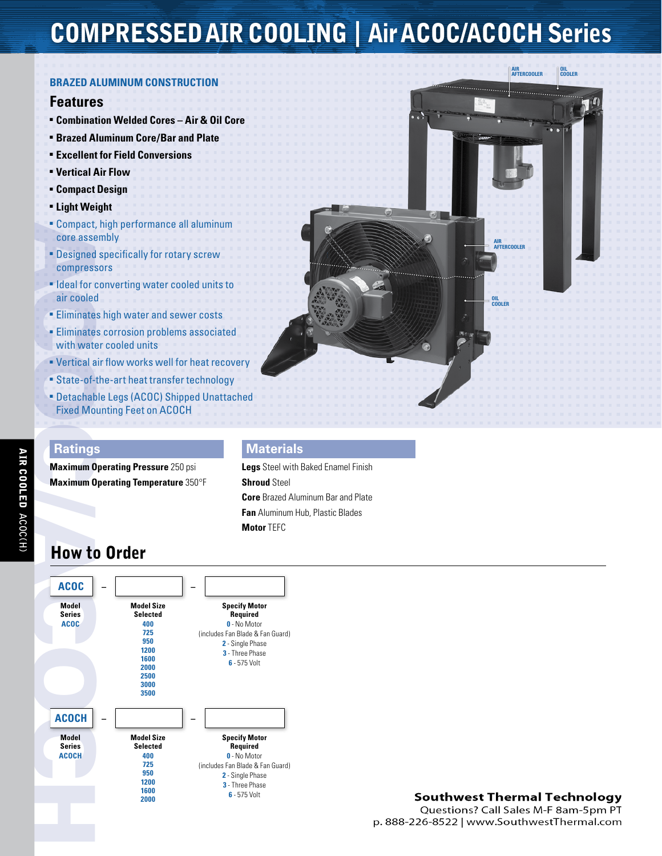# CompressedAIR COOLING | Air ACOC/ACOCH Series

#### **bRAZED ALUMINUM CONSTRUCTION**

#### **Features**

- <sup>n</sup> **Combination Welded Cores Air & Oil Core**
- <sup>n</sup> **Brazed Aluminum Core/Bar and Plate** <sup>n</sup> **Excellent for Field Conversions**
- <sup>n</sup> **Vertical Air Flow**
- <sup>n</sup> **Compact Design**
- <sup>n</sup> **Light Weight**
- **E** Compact, high performance all aluminum core assembly
- **Designed specifically for rotary screw** compressors
- **Ideal for converting water cooled units to** air cooled
- **Eliminates high water and sewer costs**
- **Eliminates corrosion problems associated** with water cooled units
- **Vertical air flow works well for heat recovery**
- **Example 3 State-of-the-art heat transfer technology**
- <sup>n</sup> Detachable Legs (ACOC) Shipped Unattached Fixed Mounting Feet on ACOCH

### **Ratings**

**Maximum Operating Pressure** 250 psi **Maximum Operating Temperature** 350°F

### **Materials**

**Legs** Steel with Baked Enamel Finish **Shroud** Steel **Core** Brazed Aluminum Bar and Plate **Fan** Aluminum Hub, Plastic Blades **Motor** TEFC

## How to Order



### **Southwest Thermal Technology**

Questions? Call Sales M-F 8am-5pm PT p. 888-226-8522 | www.SouthwestThermal.com

**OIL**<br>CO

**Air Aftercooler**

**Oil Cooler**

**Air Aftercooler**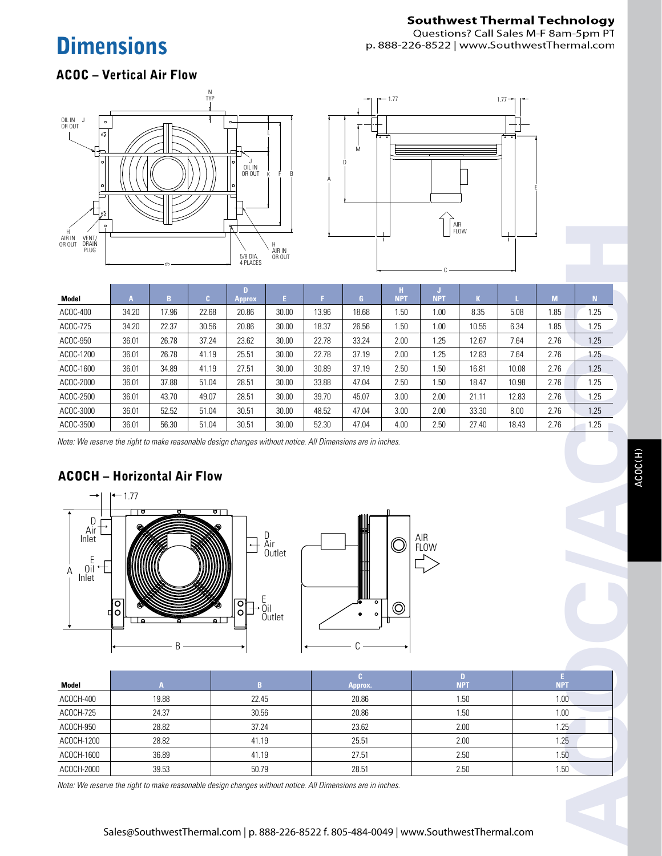# **Dimensions**

## **Southwest Thermal Technology**

Questions? Call Sales M-F 8am-5pm PT p. 888-226-8522 | www.SouthwestThermal.com

### ACOC – Vertical Air Flow





| Н<br>AIR IN                                                                                                                                                                                                                                                                                                                                                                                                         |              |                  |                                                                                         |                    |                      |       | FLOW                    |                  |                 |                            |       |                  |      |  |
|---------------------------------------------------------------------------------------------------------------------------------------------------------------------------------------------------------------------------------------------------------------------------------------------------------------------------------------------------------------------------------------------------------------------|--------------|------------------|-----------------------------------------------------------------------------------------|--------------------|----------------------|-------|-------------------------|------------------|-----------------|----------------------------|-------|------------------|------|--|
| VENT/<br>DRAIN<br>PLUG<br>OR OUT                                                                                                                                                                                                                                                                                                                                                                                    |              | AIR IN<br>OR OUT |                                                                                         |                    |                      |       |                         |                  |                 |                            |       |                  |      |  |
|                                                                                                                                                                                                                                                                                                                                                                                                                     |              |                  |                                                                                         |                    | 5/8 DIA.<br>4 PLACES |       |                         |                  |                 |                            |       |                  |      |  |
|                                                                                                                                                                                                                                                                                                                                                                                                                     |              |                  |                                                                                         |                    |                      |       |                         |                  |                 |                            |       |                  |      |  |
| Model                                                                                                                                                                                                                                                                                                                                                                                                               | $\mathbf{A}$ | $\mathbf{B}$     | $\mathbf{C}$                                                                            | D<br><b>Approx</b> | $\mathbb{E}^+$       | F.    | $\mathbf{G}$            | H.<br><b>NPT</b> | J<br><b>NPT</b> | $\mathbf{K}$               | L.    | $\mathsf{M}$     | N    |  |
| ACOC-400                                                                                                                                                                                                                                                                                                                                                                                                            | 34.20        | 17.96            | 22.68                                                                                   | 20.86              | 30.00                | 13.96 | 18.68                   | 1.50             | 1.00            | 8.35                       | 5.08  | 1.85             | 1.25 |  |
| ACOC-725                                                                                                                                                                                                                                                                                                                                                                                                            | 34.20        | 22.37            | 30.56                                                                                   | 20.86              | 30.00                | 18.37 | 26.56                   | 1.50             | 1.00            | 10.55                      | 6.34  | 1.85             | 1.25 |  |
| ACOC-950                                                                                                                                                                                                                                                                                                                                                                                                            | 36.01        | 26.78            | 37.24                                                                                   | 23.62              | 30.00                | 22.78 | 33.24                   | 2.00             | 1.25            | 12.67                      | 7.64  | 2.76             | 1.25 |  |
| ACOC-1200                                                                                                                                                                                                                                                                                                                                                                                                           | 36.01        | 26.78            | 41.19                                                                                   | 25.51              | 30.00                | 22.78 | 37.19                   | 2.00             | 1.25            | 12.83                      | 7.64  | 2.76             | 1.25 |  |
| ACOC-1600                                                                                                                                                                                                                                                                                                                                                                                                           | 36.01        | 34.89            | 41.19                                                                                   | 27.51              | 30.00                | 30.89 | 37.19                   | 2.50             | 1.50            | 16.81                      | 10.08 | 2.76             | 1.25 |  |
| ACOC-2000                                                                                                                                                                                                                                                                                                                                                                                                           | 36.01        | 37.88            | 51.04                                                                                   | 28.51              | 30.00                | 33.88 | 47.04                   | 2.50             | 1.50            | 18.47                      | 10.98 | 2.76             | 1.25 |  |
| ACOC-2500                                                                                                                                                                                                                                                                                                                                                                                                           | 36.01        | 43.70            | 49.07                                                                                   | 28.51              | 30.00                | 39.70 | 45.07                   | 3.00             | 2.00            | 21.11                      | 12.83 | 2.76             | 1.25 |  |
| ACOC-3000                                                                                                                                                                                                                                                                                                                                                                                                           | 36.01        | 52.52            | 51.04                                                                                   | 30.51              | 30.00                | 48.52 | 47.04                   | 3.00             | 2.00            | 33.30                      | 8.00  | 2.76             | 1.25 |  |
| ACOC-3500                                                                                                                                                                                                                                                                                                                                                                                                           | 36.01        | 56.30            | 51.04                                                                                   | 30.51              | 30.00                | 52.30 | 47.04                   | 4.00             | 2.50            | 27.40                      | 18.43 | 2.76             | 1.25 |  |
| Note: We reserve the right to make reasonable design changes without notice. All Dimensions are in inches.<br><b>ACOCH - Horizontal Air Flow</b><br>$-1.77$<br>-<br>षा<br>⊤ण<br>D<br>Air <sup>1</sup><br>D<br>Air<br>Outlet<br>AIR<br>FLOW<br>Inlet<br>O.<br>Ε<br>$0\overline{1}$<br>Α<br>Inlet<br>$\frac{E}{0}$ il<br>$\overline{\circ}$<br>하<br>$\circ$<br>$\circledcirc$<br>$\circ$<br>$\bullet$<br>Outlet<br>ρI |              |                  |                                                                                         |                    |                      |       |                         |                  |                 |                            |       |                  |      |  |
| <b>Model</b>                                                                                                                                                                                                                                                                                                                                                                                                        |              | $\mathbf{A}$     |                                                                                         | B                  |                      |       | $\mathbf{C}$            |                  |                 | $\mathbf{D}$<br><b>NPT</b> |       | E.<br><b>NPT</b> |      |  |
| ACOCH-400                                                                                                                                                                                                                                                                                                                                                                                                           |              | 19.88            |                                                                                         | 22.45              |                      |       | <b>Approx.</b><br>20.86 |                  |                 | 1.50                       |       | 1.00             |      |  |
| ACOCH-725                                                                                                                                                                                                                                                                                                                                                                                                           |              | 24.37            |                                                                                         | 30.56              |                      |       | 20.86                   |                  | 1.50            |                            |       | 1.00             |      |  |
| ACOCH-950                                                                                                                                                                                                                                                                                                                                                                                                           |              | 28.82            |                                                                                         | 37.24              |                      |       | 23.62                   |                  | 2.00            |                            | 1.25  |                  |      |  |
| ACOCH-1200                                                                                                                                                                                                                                                                                                                                                                                                          |              | 28.82            |                                                                                         | 41.19              |                      |       | 25.51                   |                  |                 | 2.00                       |       | 1.25             |      |  |
| ACOCH-1600                                                                                                                                                                                                                                                                                                                                                                                                          |              | 36.89            |                                                                                         | 41.19              |                      |       | 27.51                   |                  | 2.50            |                            | 1.50  |                  |      |  |
| ACOCH-2000                                                                                                                                                                                                                                                                                                                                                                                                          |              | 39.53            |                                                                                         | 50.79              |                      |       | 28.51                   |                  | 2.50            |                            | 1.50  |                  |      |  |
| Note: We reserve the right to make reasonable design changes without notice. All Dimensions are in inches.                                                                                                                                                                                                                                                                                                          |              |                  |                                                                                         |                    |                      |       |                         |                  |                 |                            |       |                  |      |  |
|                                                                                                                                                                                                                                                                                                                                                                                                                     |              |                  | Sales@SouthwestThermal.com   p. 888-226-8522 f. 805-484-0049   www.SouthwestThermal.com |                    |                      |       |                         |                  |                 |                            |       |                  |      |  |



| Model      |       | n     | Approx. | <b>NPT</b> | <b>NPT</b> |
|------------|-------|-------|---------|------------|------------|
| ACOCH-400  | 19.88 | 22.45 | 20.86   | .50        | 1.00       |
| ACOCH-725  | 24.37 | 30.56 | 20.86   | 50،،       | 1.00       |
| ACOCH-950  | 28.82 | 37.24 | 23.62   | 2.00       | 1.25       |
| ACOCH-1200 | 28.82 | 41.19 | 25.51   | 2.00       | 1.25       |
| ACOCH-1600 | 36.89 | 41.19 | 27.51   | 2.50       | 1.50       |
| ACOCH-2000 | 39.53 | 50.79 | 28.51   | 2.50       | 1.50       |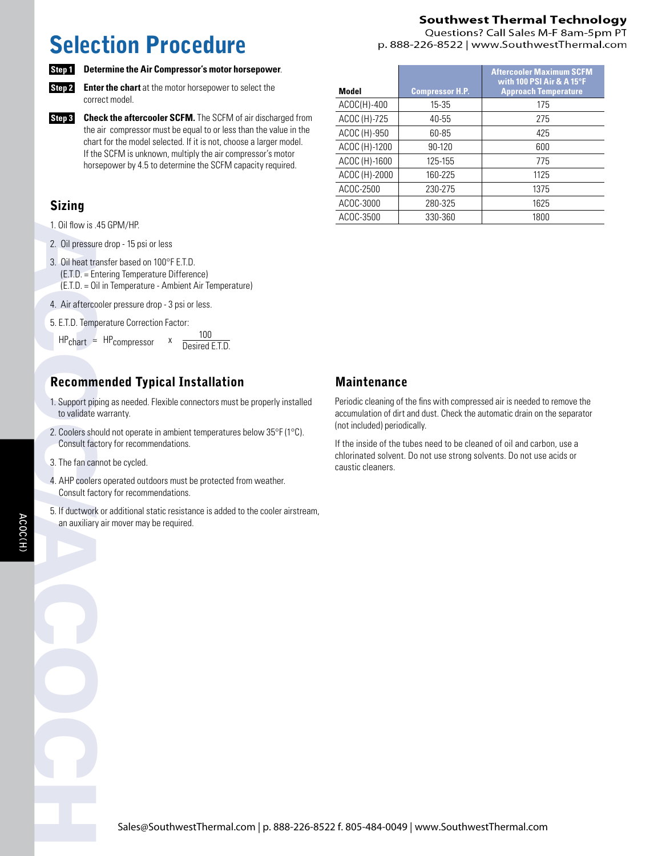# Selection Procedure

### **Southwest Thermal Technology**

Questions? Call Sales M-F 8am-5pm PT p. 888-226-8522 | www.SouthwestThermal.com



**Step 1 Determine the Air Compressor's motor horsepower**.

**Step 2** Enter the chart at the motor horsepower to select the correct model.

**Step 3 Check the aftercooler SCFM.** The SCFM of air discharged from the air compressor must be equal to or less than the value in the chart for the model selected. If it is not, choose a larger model. If the SCFM is unknown, multiply the air compressor's motor horsepower by 4.5 to determine the SCFM capacity required.

### Sizing

- 1. Oil flow is .45 GPM/HP.
- 2. Oil pressure drop 15 psi or less
- 1. Oil flow is .<br>
2. Oil pressur<br>
3. Oil heat tra<br>
(E.T.D. = Er<br>
(E.T.D. = Oi<br>
4. Air afterco<br>
5. E.T.D. Temp<br>
HPchart =<br> **Recomm**<br>
1. Support pip<br>
to validate<br>
2. Coolers sho<br>
Consult fac<br>
3. The fan car<br>
4. AHP cooler<br>
5 3. Oil heat transfer based on 100°F E.T.D. (E.T.D. = Entering Temperature Difference) (E.T.D. = Oil in Temperature - Ambient Air Temperature)
	- 4. Air aftercooler pressure drop 3 psi or less.
	- 5. E.T.D. Temperature Correction Factor:

 $HP<sub>chart</sub> = HP<sub>compressor</sub> x  $\frac{100}{Desired E.T.D.}$$ 

### Recommended Typical Installation

- 1. Support piping as needed. Flexible connectors must be properly installed to validate warranty.
- 2. Coolers should not operate in ambient temperatures below 35°F (1°C). Consult factory for recommendations.
- 3. The fan cannot be cycled.
- 4. AHP coolers operated outdoors must be protected from weather. Consult factory for recommendations.
- 5. If ductwork or additional static resistance is added to the cooler airstream, an auxiliary air mover may be required.

| Model         | <b>Compressor H.P.</b> | <b>Aftercooler Maximum SCFM</b><br>with 100 PSI Air & A 15°F<br><b>Approach Temperature</b> |
|---------------|------------------------|---------------------------------------------------------------------------------------------|
| $ACOC(H)-400$ | $15 - 35$              | 175                                                                                         |
| ACOC (H)-725  | $40 - 55$              | 275                                                                                         |
| ACOC (H)-950  | 60-85                  | 425                                                                                         |
| ACOC (H)-1200 | 90-120                 | 600                                                                                         |
| ACOC (H)-1600 | 125-155                | 775                                                                                         |
| ACOC (H)-2000 | 160-225                | 1125                                                                                        |
| ACOC-2500     | 230-275                | 1375                                                                                        |
| ACOC-3000     | 280-325                | 1625                                                                                        |
| ACOC-3500     | 330-360                | 1800                                                                                        |

### Maintenance

Periodic cleaning of the fins with compressed air is needed to remove the accumulation of dirt and dust. Check the automatic drain on the separator (not included) periodically.

If the inside of the tubes need to be cleaned of oil and carbon, use a chlorinated solvent. Do not use strong solvents. Do not use acids or caustic cleaners.